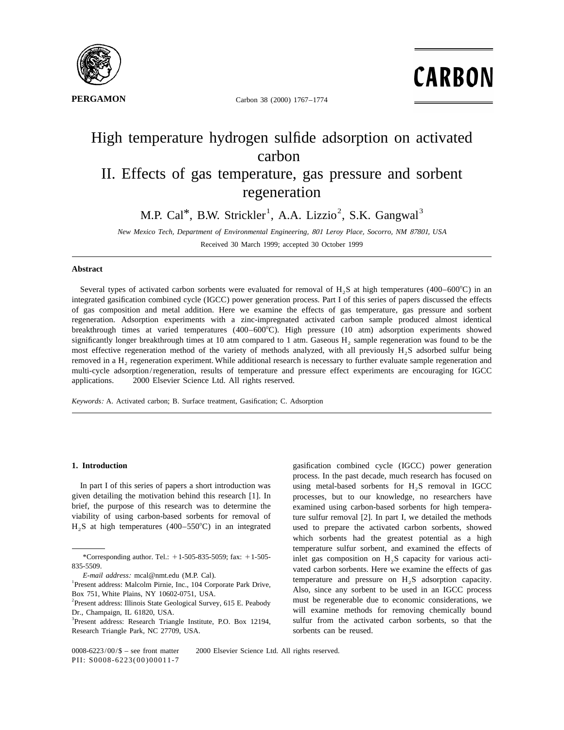

**PERGAMON** Carbon 38 (2000) 1767-1774

**CARBON** 

# High temperature hydrogen sulfide adsorption on activated carbon II. Effects of gas temperature, gas pressure and sorbent regeneration

M.P. Cal<sup>\*</sup>, B.W. Strickler<sup>1</sup>, A.A. Lizzio<sup>2</sup>, S.K. Gangwal<sup>3</sup>

*New Mexico Tech*, *Department of Environmental Engineering*, <sup>801</sup> *Leroy Place*, *Socorro*, *NM* 87801, *USA* Received 30 March 1999; accepted 30 October 1999

### **Abstract**

Several types of activated carbon sorbents were evaluated for removal of H<sub>2</sub>S at high temperatures (400–600°C) in an integrated gasification combined cycle (IGCC) power generation process. Part I of this series of papers discussed the effects of gas composition and metal addition. Here we examine the effects of gas temperature, gas pressure and sorbent regeneration. Adsorption experiments with a zinc-impregnated activated carbon sample produced almost identical breakthrough times at varied temperatures  $(400-600^{\circ}\text{C})$ . High pressure  $(10 \text{ atm})$  adsorption experiments showed significantly longer breakthrough times at 10 atm compared to 1 atm. Gaseous  $H_2$  sample regeneration was found to be the most effective regeneration method of the variety of methods analyzed, with all previously H<sub>2</sub>S adsorbed sulfur being removed in a H<sub>2</sub> regeneration experiment. While additional research is necessary to further evaluate sample regeneration and multi-cycle adsorption/regeneration, results of temperature and pressure effect experiments are encouraging for IGCC applications.  $\circ$  2000 Elsevier Science Ltd. All rights reserved.

*Keywords*: A. Activated carbon; B. Surface treatment, Gasification; C. Adsorption

In part I of this series of papers a short introduction was using metal-based sorbents for  $H_2S$  removal in IGCC given detailing the motivation behind this research [1]. In processes, but to our knowledge, no researchers brief, the purpose of this research was to determine the examined using carbon-based sorbents for high temperaviability of using carbon-based sorbents for removal of ture sulfur removal [2]. In part I, we detailed the methods

**1. Introduction** gasification combined cycle (IGCC) power generation process. In the past decade, much research has focused on processes, but to our knowledge, no researchers have  $H<sub>2</sub>S$  at high temperatures (400–550°C) in an integrated used to prepare the activated carbon sorbents, showed which sorbents had the greatest potential as a high temperature sulfur sorbent, and examined the effects of \*Corresponding author. Tel.:  $+1$ -505-835-5059; fax:  $+1$ -505-<br>835-5509. inlet gas composition on H<sub>2</sub>S capacity for various acti-<br>vated carbon sorbents. Here we examine the effects of gas *E-mail address:* mcal@nmt.edu (M.P. Cal).<br>
<sup>1</sup>Present address: Malcolm Pirnie, Inc., 104 Corporate Park Drive,<br>
Box 751, White Plains, NY 10602-0751, USA.<br>
<sup>2</sup>Present address: Illinois State Geological Survey, 615 E Peab Dr., Champaign, IL 61820, USA.<br><sup>3</sup>Present address: Research Triangle Institute, P.O. Box 12194. Sulfur from the activated carbon sorbents, so that the 3 Present address: Research Triangle Institute, P.O. Box 12194, sulfur from the activated carbon sorbents, so that the

 $0008-6223/00/$ \$ – see front matter  $\odot$  2000 Elsevier Science Ltd. All rights reserved. PII: S0008-6223(00)00011-7

<sup>&</sup>lt;sup>2</sup> Present address: Illinois State Geological Survey, 615 E. Peabody

Research Triangle Park, NC 27709, USA. Sorbents can be reused.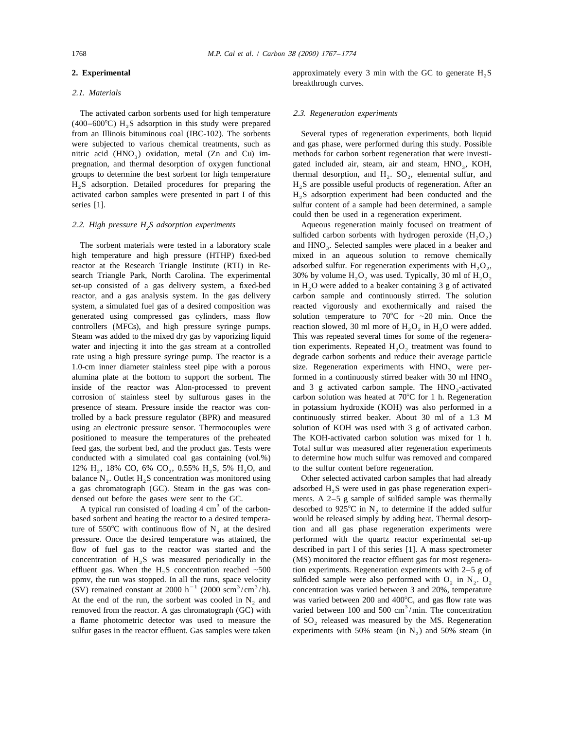### 2.1. *Materials*

The activated carbon sorbents used for high temperature 2.3. *Regeneration experiments*  $(400-600^{\circ}C)$  H<sub>2</sub>S adsorption in this study were prepared from an Illinois bituminous coal (IBC-102). The sorbents Several types of regeneration experiments, both liquid nitric acid (HNO<sub>3</sub>) oxidation, metal (Zn and Cu) im- methods for carbon sorbent regeneration that were investipregnation, and thermal desorption of oxygen functional gated included air, steam, air and steam, HNO<sub>3</sub>, KOH, 3 groups to determine the best sorbent for high temperature thermal desorption, and H<sub>2</sub>. SO<sub>2</sub>, elemental sulf  $H_2S$  adsorption. Detailed procedures for preparing the  $H_2S$  are possible useful products of regeneration. After an activated carbon samples were presented in part I of this  $H_2S$  adsorption experiment had been conduc activated carbon samples were presented in part I of this  $H_2S$  adsorption experiment had been conducted and the series [1].

reactor at the Research Triangle Institute (RTI) in Re-<br>search Triangle Park, North Carolina. The experimental 30% by volume  $H_2O_2$ , was used. Typically, 30 ml of  $H_2O_2$ , search Triangle Park, North Carolina. The experimental set-up consisted of a gas delivery system, a fixed-bed set-up consisted of a gas delivery system, a fixed-bed in  $H_2O$  were added to a beaker containing 3 g of activated reactor, and a gas analysis system. In the gas delivery carbon sample and continuously stirred. The solut system, a simulated fuel gas of a desired composition was reacted vigorously and exothermically and raised the generated using compressed gas cylinders, mass flow solution temperature to 70 $\degree$ C for  $\sim$ 20 min. Once the controllers (MFCs), and high pressure syringe pumps. reaction slowed, 30 ml more of  $H_2O_2$  in  $H_2O$  were added. Steam was added to the mixed dry gas by vaporizing liquid This was repeated several times for some of the regenerawater and injecting it into the gas stream at a controlled tion experiments. Repeated  $H_2O_2$  treatment was found to rate using a high pressure syringe pump. The reactor is a degrade carbon sorbents and reduce their aver alumina plate at the bottom to support the sorbent. The formed in a continuously stirred beaker with 30 ml HNO<sub>3</sub> inside of the reactor was Alon-processed to prevent and 3 g activated carbon sample. The HNO<sub>3</sub>-activated inside of the reactor was Alon-processed to prevent corrosion of stainless steel by sulfurous gases in the carbon solution was heated at  $70^{\circ}$ C for 1 h. Regeneration presence of steam. Pressure inside the reactor was con- in potassium hydroxide (KOH) was also performed in a trolled by a back pressure regulator (BPR) and measured continuously stirred beaker. About 30 ml of a 1.3 M using an electronic pressure sensor. Thermocouples were solution of KOH was used with 3 g of activated carbon. positioned to measure the temperatures of the preheated The KOH-activated carbon solution was mixed for 1 h. feed gas, the sorbent bed, and the product gas. Tests were Total sulfur was measured after regeneration experiments conducted with a simulated coal gas containing (vol.%) to determine how much sulfur was removed and compared 12% H<sub>2</sub>, 18% CO, 6% CO<sub>2</sub>, 0.55% H<sub>2</sub>S, 5% H<sub>2</sub>O, and to the sulfur content before regeneration.<br>
balance N<sub>2</sub>. Outlet H<sub>2</sub>S concentration was monitored using Other selected activated carbon samples that had already balance N<sub>2</sub>. Outlet H<sub>2</sub>S concentration was monitored using a gas chromatograph (GC). Steam in the gas was con-<br>densed H<sub>2</sub>S were used in gas phase regeneration experi-<br>densed out before the gases were sent to the GC.<br>The ments. A 2-5 g sample of sulfided sample was thermally

ture of 550°C with continuous flow of  $N_2$  at the desired tion and all gas phase regeneration experiments were pressure. Once the desired temperature was attained, the performed with the quartz reactor experimental set-u flow of fuel gas to the reactor was started and the described in part I of this series [1]. A mass spectrometer concentration of  $H_2S$  was measured periodically in the (MS) monitored the reactor effluent gas for most regenera-<br>effluent gas. When the H<sub>2</sub>S concentration reached ~500 tion experiments. Regeneration experiments with 2 effluent gas. When the  $H_2S$  concentration reached  $\sim 500$ ppmv, the run was stopped. In all the runs, space velocity sulfided sample were also performed with  $O_2$  in  $N_2$ .  $O_2$ <br>(SV) remained constant at 2000 h<sup>-1</sup> (2000 scm<sup>3</sup>/cm<sup>3</sup>/h). concentration was varied between 3 and At the end of the run, the sorbent was cooled in N<sub>2</sub> and was varied between 200 and 400°C, and gas flow rate was removed from the reactor. A gas chromatograph (GC) with varied between 100 and 500 cm<sup>3</sup>/min. The concentra a flame photometric detector was used to measure the of  $SO_2$  released was measured by the MS. Regeneration sulfur gases in the reactor effluent. Gas samples were taken experiments with 50% steam (in N<sub>2</sub>) and 50% steam (

**2. Experimental** 2. **Experimental** approximately every 3 min with the GC to generate H<sub>2</sub>S breakthrough curves.

were subjected to various chemical treatments, such as and gas phase, were performed during this study. Possible thermal desorption, and  $H_2$ . SO<sub>2</sub>, elemental sulfur, and sulfur content of a sample had been determined, a sample could then be used in a regeneration experiment.

2.2. *High pressure H<sub>2</sub>S adsorption experiments* Aqueous regeneration mainly focused on treatment of sulfided carbon sorbents with hydrogen peroxide  $(H, O_2)$ The sorbent materials were tested in a laboratory scale and HNO<sub>3</sub>. Selected samples were placed in a beaker and high temperature and high pressure (HTHP) fixed-bed mixed in an aqueous solution to remove chemically mixed in an aqueous solution to remove chemically carbon sample and continuously stirred. The solution degrade carbon sorbents and reduce their average particle 1.0-cm inner diameter stainless steel pipe with a porous size. Regeneration experiments with  $HNO<sub>3</sub>$  were per-<br>alumina plate at the bottom to support the sorbent. The formed in a continuously stirred beaker with 30 ml

A typical run consisted of loading 4 cm<sup>3</sup> of the carbon-<br>based to 925°C in N<sub>2</sub> to determine if the added sulfur<br>based sorbent and heating the reactor to a desired tempera-<br>would be released simply by adding heat. Therma would be released simply by adding heat. Thermal desorpperformed with the quartz reactor experimental set-up experiments with 50% steam (in  $N_2$ ) and 50% steam (in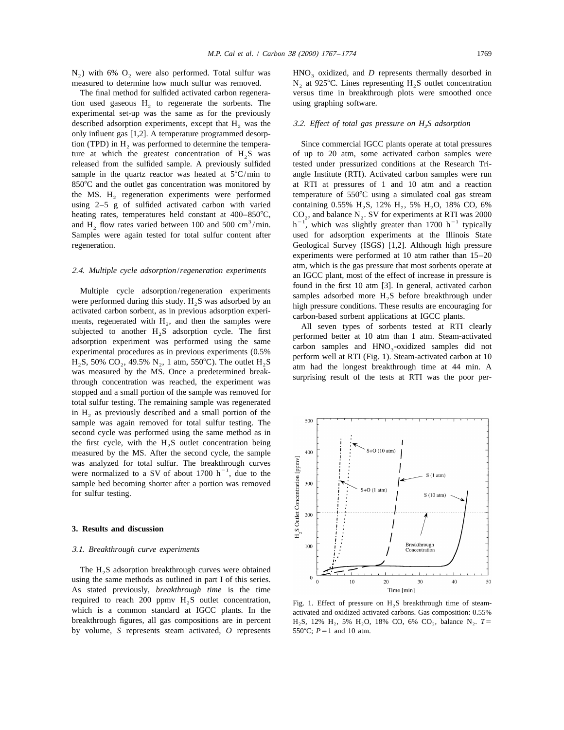$N_2$ ) with 6% O<sub>2</sub> were also performed. Total sulfur was HNO<sub>3</sub> oxidized, and D represents thermally desorbed in measured to determine how much sulfur was removed. N, at 925°C. Lines representing H,S outlet concentration

tion used gaseous  $H<sub>2</sub>$  to regenerate the sorbents. The using graphing software. experimental set-up was the same as for the previously described adsorption experiments, except that  $H_2$  was the  $\qquad$  3.2. *Effect of total gas pressure on H<sub>2</sub>S adsorption* only influent gas [1,2]. A temperature programmed desorption (TPD) in H<sub>2</sub> was performed to determine the tempera-<br>Since commercial IGCC plants operate at total pressures ture at which the greatest concentration of  $H_2S$  was of up to 20 atm, some activated carbon samples were released from the sulfided sample. A previously sulfided tested under pressurized conditions at the Research Trisample in the quartz reactor was heated at  $5^{\circ}C/\text{min}$  to angle Institute (RTI). Activated carbon samples were run  $850^{\circ}$ C and the outlet gas concentration was monitored by at RTI at pressures of 1 and 10 atm and a reaction the MS.  $H_2$  regeneration experiments were performed temperature of 550°C using a simulated coal gas stream using 2–5 g of sulfided activated carbon with varied containing 0.55% H, S, 12% H, 5% H, O, 18% CO, 6% heating rates, temperatures held constant at 400–850°C, CO<sub>2</sub>, and balance N<sub>2</sub>. SV for experiments at RTI was 2000 and H<sub>2</sub> flow rates varied between 100 and 500 cm<sup>3</sup>/min. h<sup>-1</sup>, which was slightly greater than 1700 h<sup>-</sup> Samples were again tested for total sulfur content after regeneration. Geological Survey (ISGS) [1,2]. Although high pressure

Multiple cycle adsorption/regeneration experiments<br>were performed during this study.  $H_2S$  was adsorbed by an<br>activated carbon somehet, as in previous adsorption experi-<br>ments, regenerated with  $H_2$ , and then the sample stopped and a small portion of the sample was removed for total sulfur testing. The remaining sample was regenerated in  $H<sub>2</sub>$  as previously described and a small portion of the sample was again removed for total sulfur testing. The second cycle was performed using the same method as in the first cycle, with the  $H<sub>2</sub>S$  outlet concentration being measured by the MS. After the second cycle, the sample was analyzed for total sulfur. The breakthrough curves were normalized to a SV of about 1700  $h^{-1}$ , due to the sample bed becoming shorter after a portion was removed for sulfur testing.

### **3. Results and discussion**

### 3.1. *Breakthrough curve experiments*

The  $H<sub>2</sub>S$  adsorption breakthrough curves were obtained using the same methods as outlined in part I of this series. As stated previously, *breakthrough time* is the time required to reach 200 ppmv H<sub>2</sub>S outlet concentration, Fig. 1. Effect of pressure on H<sub>2</sub>S breakthrough time of steam-<br>which is a common standard at IGCC plants. In the activated and oxidized activated carbons Gas composi which is a common standard at IGCC plants. In the activated and oxidized activated carbons. Gas composition: 0.55% breakthrough figures, all gas compositions are in percent  $H.S. 12\% H., 5\% H, O. 18\% CO, 6\% CO., balance N.,  $T=$$ by volume,  $S$  represents steam activated,  $O$  represents

 $N<sub>2</sub>$  at 925°C. Lines representing H<sub>2</sub>S outlet concentration The final method for sulfided activated carbon regenera- versus time in breakthrough plots were smoothed once

containing 0.55% H<sub>2</sub>S, 12% H<sub>2</sub>, 5% H<sub>2</sub>O, 18% CO, 6% experiments were performed at 10 atm rather than 15–20 atm, which is the gas pressure that most sorbents operate at 2.4. *Multiple cycle adsorption*/*regeneration experiments* an IGCC plant, most of the effect of increase in pressure is



 $H_2S$ , 12%  $H_2$ , 5%  $H_2O$ , 18% CO, 6% CO<sub>2</sub>, balance N<sub>2</sub>.  $T = 550^{\circ}$ C;  $P = 1$  and 10 atm.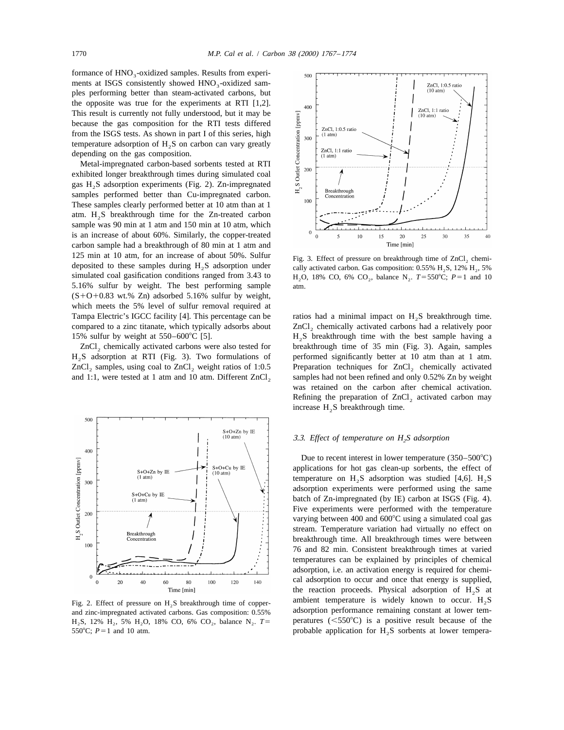formance of HNO<sub>2</sub>-oxidized samples. Results from experiments at ISGS consistently showed HNO<sub>2</sub>-oxidized samples performing better than steam-activated carbons, but the opposite was true for the experiments at RTI [1,2]. This result is currently not fully understood, but it may be because the gas composition for the RTI tests differed from the ISGS tests. As shown in part I of this series, high temperature adsorption of  $H<sub>2</sub>S$  on carbon can vary greatly depending on the gas composition.

Metal-impregnated carbon-based sorbents tested at RTI exhibited longer breakthrough times during simulated coal gas  $H_2S$  adsorption experiments (Fig. 2). Zn-impregnated samples performed better than Cu-impregnated carbon. These samples clearly performed better at 10 atm than at 1 atm.  $H<sub>2</sub>S$  breakthrough time for the Zn-treated carbon sample was 90 min at 1 atm and 150 min at 10 atm, which is an increase of about 60%. Similarly, the copper-treated carbon sample had a breakthrough of 80 min at 1 atm and 125 min at 10 atm, for an increase of about 50%. Sulfur Fig. 3. Effect of pressure on breakthrough time of ZnCl<sub>2</sub> chemi-<br>deposited to these samples during H<sub>2</sub>S adsorption under cally activated carbon. Gas composition: 0 deposited to these samples during  $H_2S$  adsorption under simulated coal gasification conditions ranged from 3.43 to 5.16% sulfur by weight. The best performing sample atm.  $(S+O+0.83 \text{ wt. % } Zn)$  adsorbed 5.16% sulfur by weight, which meets the 5% level of sulfur removal required at Tampa Electric's IGCC facility [4]. This percentage can be ratios had a minimal impact on H<sub>2</sub>S breakthrough time.

 $H<sub>2</sub>S$  adsorption at RTI (Fig. 3). Two formulations of ZnCl<sub>2</sub> samples, using coal to ZnCl<sub>2</sub> weight ratios of 1:0.5 and 1:1, were tested at 1 atm and 10 atm. Different  $ZnCl<sub>2</sub>$ 



 $H_2S$ , 12%  $H_2$ , 5%  $H_2O$ , 18% CO, 6% CO<sub>2</sub>, balance  $N_2$ .  $T = 550^{\circ}C$ ;  $P = 1$  and 10 atm.



 $H_2O$ , 18% CO, 6% CO, balance N,  $T = 550^{\circ}C$ ;  $P = 1$  and 10

compared to a zinc titanate, which typically adsorbs about ZnCl<sub>3</sub> chemically activated carbons had a relatively poor 15% sulfur by weight at 550–600°C [5].  $H_2S$  breakthrough time with the best sample having a 2nCl, chemically activated carbons were also tested for breakthrough time of 35 min (Fig. 3). Again, samples breakthrough time of 35 min (Fig. 3). Again, samples performed significantly better at 10 atm than at 1 atm. Preparation techniques for  $ZnCl_2$  chemically activated samples had not been refined and only 0.52%  $Zn$  by weight was retained on the carbon after chemical activation. Refining the preparation of  $ZnCl<sub>2</sub>$  activated carbon may increase  $H_2S$  breakthrough time.

### 3.3. *Effect of temperature on H S adsorption* <sup>2</sup>

Due to recent interest in lower temperature  $(350-500^{\circ}C)$ applications for hot gas clean-up sorbents, the effect of temperature on  $H_2S$  adsorption was studied [4,6].  $H_2S$ adsorption experiments were performed using the same batch of Zn-impregnated (by IE) carbon at ISGS (Fig. 4). Five experiments were performed with the temperature varying between 400 and  $600^{\circ}$ C using a simulated coal gas stream. Temperature variation had virtually no effect on breakthrough time. All breakthrough times were between 76 and 82 min. Consistent breakthrough times at varied temperatures can be explained by principles of chemical adsorption, i.e. an activation energy is required for chemical adsorption to occur and once that energy is supplied, the reaction proceeds. Physical adsorption of  $H<sub>2</sub>S$  at Fig. 2. Effect of pressure on H<sub>2</sub>S breakthrough time of copper-<br>ambient temperature is widely known to occur. H<sub>2</sub>S<br>and zinc-impregnated activated carbons Gas composition: 0.55% adsorption performance remaining constant adsorption performance remaining constant at lower tem-<br>H<sub>3</sub>S, 12% H<sub>3</sub>, 5% H<sub>3</sub>O, 18% CO, 6% CO<sub>3</sub>, balance N<sub>3</sub>,  $T =$  peratures (<550°C) is a positive result because of the probable application for H<sub>2</sub>S sorbents at lower tempera-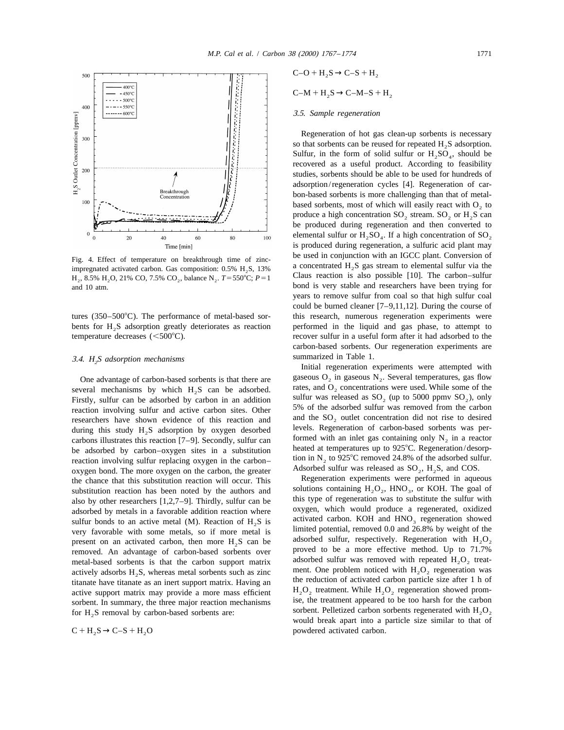

### 3.5. *Sample regeneration*

Regeneration of hot gas clean-up sorbents is necessary so that sorbents can be reused for repeated  $H_2S$  adsorption. Sulfur, in the form of solid sulfur or  $H_2SO_4$ , should be recovered as a useful product. According to feasibility studies, sorbents should be able to be used for hundreds of adsorption/regeneration cycles [4]. Regeneration of carbon-based sorbents is more challenging than that of metalbased sorbents, most of which will easily react with  $O<sub>2</sub>$  to produce a high concentration  $SO_2$  stream.  $SO_2$  or  $H_2S$  can be produced during regeneration and then converted to elemental sulfur or  $H_2SO_4$ . If a high concentration of SO<sub>2</sub> is produced during regeneration, a sulfuric acid plant may Fig. 4. Effect of temperature on breakthrough time of zinc-<br>impregnated activated carbon. Gas composition: 0.5% H<sub>2</sub>S, 13% a concentrated H<sub>2</sub>S gas stream to elemental sulfur via the<br>H. 8.5% H.O. 21% CO. 7.5% CO. balance and 10 atm. bond is very stable and researchers have been trying for years to remove sulfur from coal so that high sulfur coal could be burned cleaner [7–9,11,12]. During the course of tures (350–500°C). The performance of metal-based sor-<br>this research, numerous regeneration experiments were bents for  $H<sub>2</sub>S$  adsorption greatly deteriorates as reaction performed in the liquid and gas phase, to attempt to temperature decreases  $(<500^{\circ}C$ ). recover sulfur in a useful form after it had adsorbed to the carbon-based sorbents. Our regeneration experiments are

Initial regeneration experiments were attempted with One advantage of carbon-based sorbents is that there are gaseous  $O_2$  in gaseous  $N_2$ . Several temperatures, gas flow veral mechanisms by which H S can be adsorbed rates, and O, concentrations were used. While some of t sulfur was released as  $SO_2$  (up to 5000 ppmv  $SO_2$ ), only

would break apart into a particle size similar to that of  $C + H<sub>2</sub>S \rightarrow C-S + H<sub>2</sub>O$  powdered activated carbon.



H<sub>2</sub>, 8.5% H<sub>2</sub>O, 21% CO, 7.5% CO<sub>2</sub>, balance N<sub>2</sub>.  $T = 550^{\circ}$ C;  $P = 1$ 

## summarized in Table 1. 3.4. *H S adsorption mechanisms* <sup>2</sup>

several mechanisms by which  $H_2S$  can be adsorbed.<br>Firstly, sulfur can be adsorbed by carbon in an addition Frequencies involving sulfur and active carbon sites. Other 5% of the adsorbed sulfur was removed from the carbon researchers have shown evidence of this reaction and and the SO, outlet concentration did not rise to desire researchers have shown evidence of this reaction and and the  $SO_2$  outlet concentration did not rise to desired  $2^{2}$  during this study H S adsorption by oxygen desorbed levels. Regeneration of carbon-based sorbents was during this study  $H_2S$  adsorption by oxygen desorbed<br>carbons illustrates this reaction [7–9]. Secondly sulfur can formed with an inlet gas containing only N<sub>2</sub> in a reactor carbons illustrates this reaction [7–9]. Secondly, sulfur can<br>be adsorbed by carbon–oxygen sites in a substitution heated at temperatures up to 925°C. Regeneration/desorpbe adsorbed by carbon–oxygen sites in a substitution heated at temperatures up to 925°C. Regeneration/desorp-<br>reaction involving sulfur replacing oxygen in the carbon–<br>tion in N<sub>2</sub> to 925°C removed 24.8% of the adsorbed s reaction involving sulfur replacing oxygen in the carbon–<br>oxygen in N<sub>2</sub> to 925 C removed 24.8% of the adsorbed sulfure.<br>Adsorbed sulfur was released as  $SO_3$ , H<sub>2</sub>S, and COS.  $\alpha$  oxygen bond. The more oxygen on the carbon, the greater and all the chance that this substitution reaction will occur. This Regeneration experiments were performed in aqueous the chance that this substitution reaction will occur. This substitution reaction has been noted by the authors and solutions containing  $H_2O_2$ , HNO<sub>3</sub>, or KOH. The goal of substitute the sulfur vith such this type of regeneration was to substitute the sulfur with also by other researchers  $[1,2,7-9]$ . Thirdly, sulfur can be adsorbed by metals in a favorable addition reaction where oxygen, which would produce a regenerated, oxidized sulfur bonds to an active metal (M). Reaction of H S is sulfur bonds to an active metal (M). Reaction of  $H_2S$  is activated carbon. KOH and HNO<sub>3</sub> regeneration showed  $V$  regeneration showed  $V$  is a 26.8% by weight of the  $V$ very favorable with some metals, so if more metal is limited potential, removed 0.0 and 26.8% by weight of the<br>present on an activated carbon, then more H S can be adsorbed sulfur, respectively. Regeneration with H<sub>2</sub>O<sub>2</sub> present on an activated carbon, then more  $H_2S$  can be adsorbed sulfur, respectively. Regeneration with  $H_2O_2$ <br>removed An advantage of carbon-based sorbents over proved to be a more effective method. Up to 71.7% removed. An advantage of carbon-based sorbents over metal-based sorbents is that the carbon support matrix adsorbed sulfur was removed with repeated  $H_2O_2$  treat-<br>actively adsorbs H S whereas metal sorbents such as zinc ment. One problem noticed with  $H_2O_2$  regeneratio actively adsorbs  $H_2S$ , whereas metal sorbents such as zinc titanate have titanate as an inert support matrix. Having an the reduction of activated carbon particle size after 1 h of active support matrix may provide a more mass efficient  $H_1O_2$  treatment. While  $H_2O_2$  regenerat active support matrix may provide a more mass efficient  $H_2O_2$  treatment. While  $H_2O_2$  regeneration showed prom-<br>sorbent. In summary, the three major reaction mechanisms ise, the treatment appeared to be too harsh for sorbent. In summary, the three major reaction mechanisms for H<sub>2</sub>S removal by carbon-based sorbents are: sorbent. Pelletized carbon sorbents regenerated with  $H_2O_2$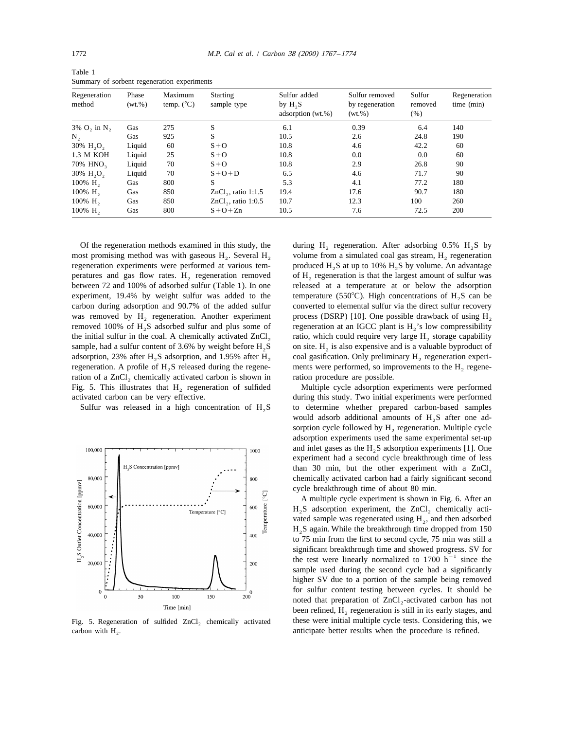| Summary of sorbent regeneration experiments |                      |                                |                                |                                                |                                             |                              |                            |
|---------------------------------------------|----------------------|--------------------------------|--------------------------------|------------------------------------------------|---------------------------------------------|------------------------------|----------------------------|
| Regeneration<br>method                      | Phase<br>$(wt. \% )$ | Maximum<br>temp. $(^{\circ}C)$ | <b>Starting</b><br>sample type | Sulfur added<br>by $H, S$<br>adsorption (wt.%) | Sulfur removed<br>by regeneration<br>(wt.%) | Sulfur<br>removed<br>$(\% )$ | Regeneration<br>time (min) |
| $3\%$ O <sub>2</sub> in N <sub>2</sub>      | Gas                  | 275                            | S                              | 6.1                                            | 0.39                                        | 6.4                          | 140                        |
| N,                                          | Gas                  | 925                            | S                              | 10.5                                           | 2.6                                         | 24.8                         | 190                        |
| 30% H <sub>2</sub> O <sub>2</sub>           | Liquid               | 60                             | $S + O$                        | 10.8                                           | 4.6                                         | 42.2                         | 60                         |
| 1.3 M KOH                                   | Liquid               | 25                             | $S + O$                        | 10.8                                           | 0.0                                         | 0.0                          | 60                         |
| 70% HNO <sub>2</sub>                        | Liquid               | 70                             | $S + O$                        | 10.8                                           | 2.9                                         | 26.8                         | 90                         |
| 30% H <sub>2</sub> O <sub>2</sub>           | Liquid               | 70                             | $S+O+D$                        | 6.5                                            | 4.6                                         | 71.7                         | 90                         |
| $100\%$ H <sub>2</sub>                      | Gas                  | 800                            |                                | 5.3                                            | 4.1                                         | 77.2                         | 180                        |
| 100% H <sub>2</sub>                         | Gas                  | 850                            | $ZnCl2$ , ratio 1:1.5          | 19.4                                           | 17.6                                        | 90.7                         | 180                        |
| 100% H <sub>2</sub>                         | Gas                  | 850                            | $ZnCl2$ , ratio 1:0.5          | 10.7                                           | 12.3                                        | 100                          | 260                        |
| 100% H <sub>2</sub>                         | Gas                  | 800                            | $S+O+Zn$                       | 10.5                                           | 7.6                                         | 72.5                         | 200                        |

Table 1 Summary of sorbent regeneration experiments

Of the regeneration methods examined in this study, the during  $H_2$  regeneration. After adsorbing 0.5%  $H_2S$  by most promising method was with gaseous  $H_2$ . Several  $H_2$  volume from a simulated coal gas stream,  $H_2$  regeneration experiments were performed at various tem-<br>produced  $H_2S$  at up to 10%  $H_2S$  by volume. An advantag peratures and gas flow rates. H<sub>2</sub> regeneration removed of H<sub>2</sub> regeneration is that the largest amount of sulfur was between 72 and 100% of adsorbed sulfur (Table 1). In one released at a temperature at or below the adso experiment, 19.4% by weight sulfur was added to the temperature (550°C). High concentrations of  $H_2S$  can be carbon during adsorption and 90.7% of the added sulfur converted to elemental sulfur via the direct sulfur recovery was removed by H, regeneration. Another experiment process (DSRP) [10]. One possible drawback of using  $H_2$ removed 100% of H<sub>2</sub>S adsorbed sulfur and plus some of regeneration at an IGCC plant is  $H_2$ 's low compressibility the initial sulfur in the coal. A chemically activated  $ZnCl_2$  ratio, which could require very large H<sub>2</sub> storage capability sample, had a sulfur content of 3.6% by weight before H<sub>2</sub> S on site. H<sub>2</sub> is also expensive and sample, had a sulfur content of 3.6% by weight before  $H_2S$  on site.  $H_2$  is also expensive and is a valuable byproduct of adsorption, 23% after  $H_2S$  adsorption, and 1.95% after  $H_2$  coal gasification. Only prelimina regeneration. A profile of  $H_2S$  released during the regene-<br>ration of a ZnCl, chemically activated carbon is shown in ration procedure are possible. ration of a  $ZnCl<sub>2</sub>$  chemically activated carbon is shown in ration procedure are possible.<br>
2. This illustrates that  $H<sub>2</sub>$  regeneration of sulfided Multiple cycle adsorption experiments were performed Fig. 5. This illustrates that  $H_2$  regeneration of sulfided activated carbon can be very effective. during this study. Two initial experiments were performed



carbon with H<sub>2</sub>. **and 2** anticipate better results when the procedure is refined.

produced  $H_2S$  at up to 10%  $H_2S$  by volume. An advantage released at a temperature at or below the adsorption coal gasification. Only preliminary H, regeneration experi-

Sulfur was released in a high concentration of  $H_2S$  to determine whether prepared carbon-based samples would adsorb additional amounts of  $H_2S$  after one adsorption cycle followed by  $H<sub>2</sub>$  regeneration. Multiple cycle adsorption experiments used the same experimental set-up and inlet gases as the  $H<sub>2</sub>S$  adsorption experiments [1]. One experiment had a second cycle breakthrough time of less than 30 min, but the other experiment with a  $ZnCl<sub>2</sub>$ chemically activated carbon had a fairly significant second cycle breakthrough time of about 80 min.

A multiple cycle experiment is shown in Fig. 6. After an  $H<sub>2</sub>S$  adsorption experiment, the ZnCl<sub>2</sub> chemically activated sample was regenerated using  $H<sub>2</sub>$ , and then adsorbed  $H<sub>2</sub>S$  again. While the breakthrough time dropped from 150 to 75 min from the first to second cycle, 75 min was still a significant breakthrough time and showed progress. SV for the test were linearly normalized to 1700  $h^{-1}$  since the sample used during the second cycle had a significantly higher SV due to a portion of the sample being removed for sulfur content testing between cycles. It should be noted that preparation of  $ZnCl<sub>2</sub>$ -activated carbon has not been refined,  $H<sub>2</sub>$  regeneration is still in its early stages, and Fig. 5. Regeneration of sulfided ZnCl, chemically activated these were initial multiple cycle tests. Considering this, we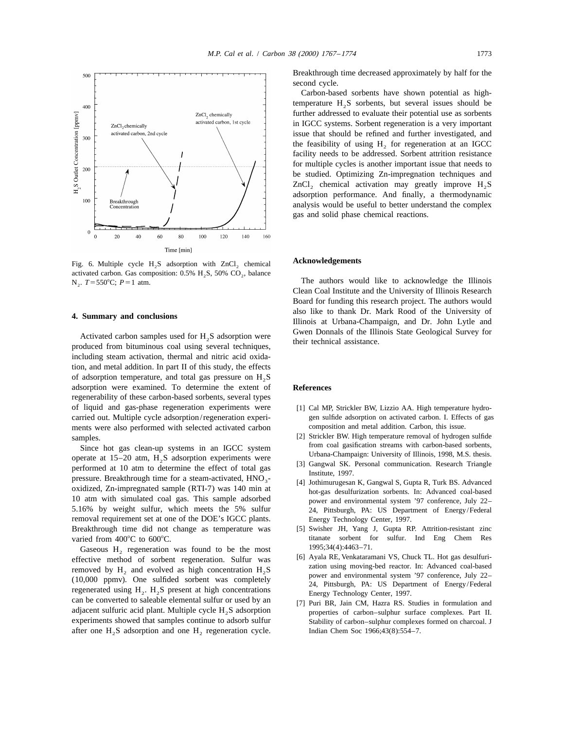

Fig. 6. Multiple cycle H<sub>2</sub>S adsorption with ZnCl<sub>2</sub> chemical Acknowledgements activated carbon. Gas composition: 0.5% H<sub>2</sub>S, 50% CO<sub>2</sub>, balance N<sub>2</sub>.  $T = 550^{\circ}$ C;  $P = 1$  atm.

including steam activation, thermal and nitric acid oxidation, and metal addition. In part II of this study, the effects of adsorption temperature, and total gas pressure on  $H_2S$ adsorption were examined. To determine the extent of **References** regenerability of these carbon-based sorbents, several types of liquid and gas-phase regeneration experiments were [1] Cal MP, Strickler BW, Lizzio AA. High temperature hydrocarried out. Multiple cycle adsorption/regeneration experi- gen sulfide adsorption on activated carbon. I. Effects of gas ments were also performed with selected activated carbon composition and metal addition. Carbon, this issue.

Since hot gas clean-up systems in an IGCC system<br>operate at 15–20 atm,  $H_2S$  adsorption experiments were<br>performed at 10 atm to determine the effect of total gas<br>pressure. Breakthrough time for a steam-activated,  $HNO_3^-$ 5.16% by weight sulfur, which meets the 5% sulfur 24, Pittsburgh, PA: US Department of Energy/Federal removal requirement set at one of the DOE's IGCC plants. Energy Technology Center, 1997. Breakthrough time did not change as temperature was [5] Swisher JH, Yang J, Gupta RP. Attrition-resistant zinc

Gaseous  $H_2$  regeneration was found to be the most<br>  $[6]$  Ayala RE, Venkataramani VS, Chuck TL. Hot gas desulfurieffective method of sorbent regeneration. Sulfur was [6] Ayala RE, Venkataramani VS, Chuck TL. Hot gas desulfuri-<br>removed by  $H_2$  and evolved as high concentration  $H_2S$  (10,000 ppmv). One sulfided sorbent was completel can be converted to saleable elemental sulfur or used by an [7] Puri BR, Jain CM, Hazra RS. Studies in formulation and adjacent sulfuric acid plant. Multiple cycle  $H_2S$  adsorption approperties of carbon–sulphur surface experiments showed that samples continue to adsorb sulfur Stability of carbon–sulphur complexes formed on charcoal. J after one  $H_2$ S adsorption and one  $H_2$  regeneration cycle. Indian Chem Soc 1966;43(8):554–7.

Breakthrough time decreased approximately by half for the second cycle.

Carbon-based sorbents have shown potential as hightemperature  $H<sub>2</sub>S$  sorbents, but several issues should be further addressed to evaluate their potential use as sorbents in IGCC systems. Sorbent regeneration is a very important issue that should be refined and further investigated, and the feasibility of using  $H<sub>2</sub>$  for regeneration at an IGCC facility needs to be addressed. Sorbent attrition resistance for multiple cycles is another important issue that needs to be studied. Optimizing Zn-impregnation techniques and ZnCl, chemical activation may greatly improve  $H_2S$ adsorption performance. And finally, a thermodynamic analysis would be useful to better understand the complex gas and solid phase chemical reactions.

The authors would like to acknowledge the Illinois Clean Coal Institute and the University of Illinois Research Board for funding this research project. The authors would also like to thank Dr. Mark Rood of the University of **4. Summary and conclusions** Illinois at Urbana-Champaign, and Dr. John Lytle and Activated carbon samples used for  $H_2S$  adsorption were<br>produced from bituminous coal using several techniques,<br>produced from bituminous coal using several techniques,

- 
- samples. [2] Strickler BW. High temperature removal of hydrogen sulfide<br>Since hot gas clean-up systems in an IGCC system from coal gasification streams with carbon-based sorbents,
	-
	-
- varied from 400°C to 600°C.<br>
Gaseous H regeneration was found to be the most 1995;34(4):4463–71.
	-
	-